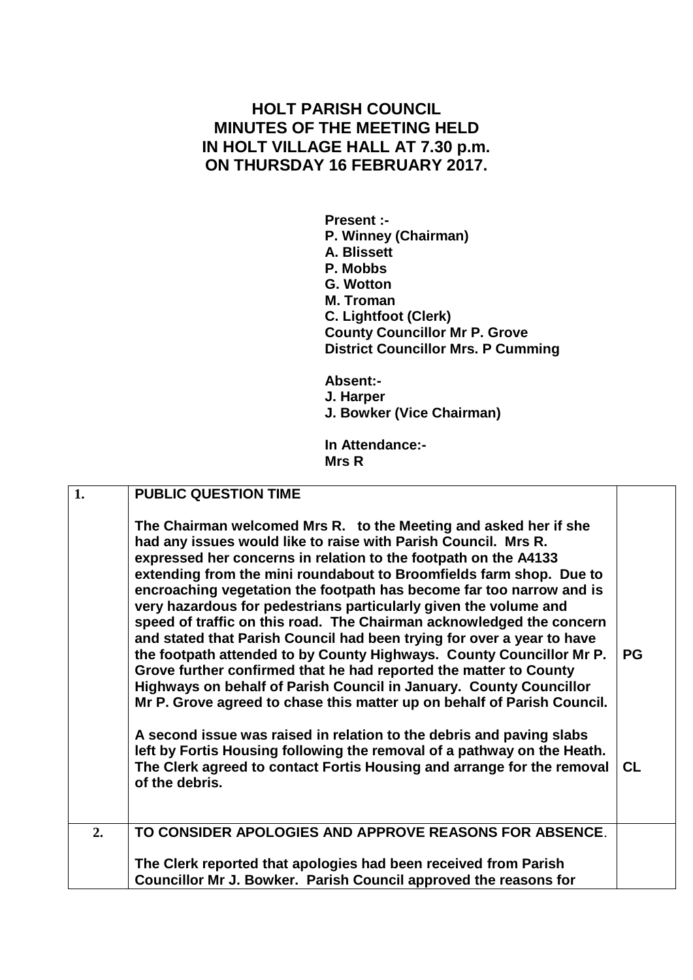## **HOLT PARISH COUNCIL MINUTES OF THE MEETING HELD IN HOLT VILLAGE HALL AT 7.30 p.m. ON THURSDAY 16 FEBRUARY 2017.**

**Present :- P. Winney (Chairman) A. Blissett P. Mobbs G. Wotton M. Troman C. Lightfoot (Clerk) County Councillor Mr P. Grove District Councillor Mrs. P Cumming**

**Absent:- J. Harper J. Bowker (Vice Chairman)**

**In Attendance:- Mrs R**

| 1. | <b>PUBLIC QUESTION TIME</b>                                                                                                                                                                                                                                                                                                                                                                                                                                                                                                                                                                                                                                                                                                                                                                                                                                              |           |
|----|--------------------------------------------------------------------------------------------------------------------------------------------------------------------------------------------------------------------------------------------------------------------------------------------------------------------------------------------------------------------------------------------------------------------------------------------------------------------------------------------------------------------------------------------------------------------------------------------------------------------------------------------------------------------------------------------------------------------------------------------------------------------------------------------------------------------------------------------------------------------------|-----------|
|    | The Chairman welcomed Mrs R. to the Meeting and asked her if she<br>had any issues would like to raise with Parish Council. Mrs R.<br>expressed her concerns in relation to the footpath on the A4133<br>extending from the mini roundabout to Broomfields farm shop. Due to<br>encroaching vegetation the footpath has become far too narrow and is<br>very hazardous for pedestrians particularly given the volume and<br>speed of traffic on this road. The Chairman acknowledged the concern<br>and stated that Parish Council had been trying for over a year to have<br>the footpath attended to by County Highways. County Councillor Mr P.<br>Grove further confirmed that he had reported the matter to County<br>Highways on behalf of Parish Council in January. County Councillor<br>Mr P. Grove agreed to chase this matter up on behalf of Parish Council. | <b>PG</b> |
|    | A second issue was raised in relation to the debris and paving slabs<br>left by Fortis Housing following the removal of a pathway on the Heath.<br>The Clerk agreed to contact Fortis Housing and arrange for the removal<br>of the debris.                                                                                                                                                                                                                                                                                                                                                                                                                                                                                                                                                                                                                              | <b>CL</b> |
| 2. | TO CONSIDER APOLOGIES AND APPROVE REASONS FOR ABSENCE.                                                                                                                                                                                                                                                                                                                                                                                                                                                                                                                                                                                                                                                                                                                                                                                                                   |           |
|    | The Clerk reported that apologies had been received from Parish<br>Councillor Mr J. Bowker. Parish Council approved the reasons for                                                                                                                                                                                                                                                                                                                                                                                                                                                                                                                                                                                                                                                                                                                                      |           |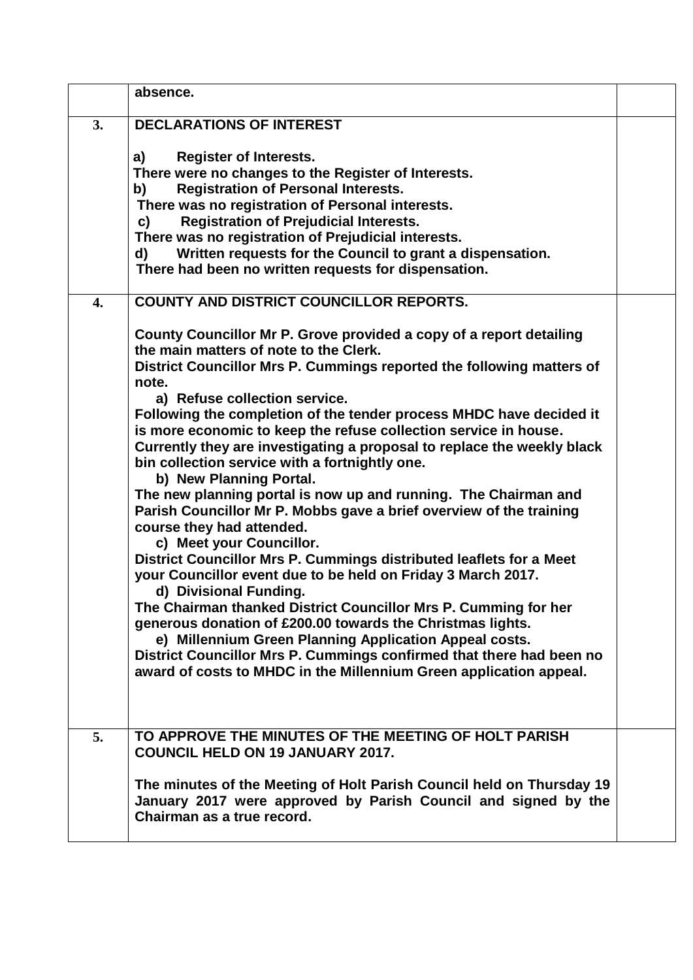|    | absence.                                                                                                                                                                                                                                                                                                                                                                                                                                                                                                                                                                                                                                                                                                                                                                                                                                                                                                                                                                                                                                                                                                                                                                                                                                         |  |
|----|--------------------------------------------------------------------------------------------------------------------------------------------------------------------------------------------------------------------------------------------------------------------------------------------------------------------------------------------------------------------------------------------------------------------------------------------------------------------------------------------------------------------------------------------------------------------------------------------------------------------------------------------------------------------------------------------------------------------------------------------------------------------------------------------------------------------------------------------------------------------------------------------------------------------------------------------------------------------------------------------------------------------------------------------------------------------------------------------------------------------------------------------------------------------------------------------------------------------------------------------------|--|
| 3. | <b>DECLARATIONS OF INTEREST</b>                                                                                                                                                                                                                                                                                                                                                                                                                                                                                                                                                                                                                                                                                                                                                                                                                                                                                                                                                                                                                                                                                                                                                                                                                  |  |
|    | <b>Register of Interests.</b><br>a)<br>There were no changes to the Register of Interests.<br><b>Registration of Personal Interests.</b><br>b)<br>There was no registration of Personal interests.<br><b>Registration of Prejudicial Interests.</b><br>C)<br>There was no registration of Prejudicial interests.<br>Written requests for the Council to grant a dispensation.<br>d)<br>There had been no written requests for dispensation.                                                                                                                                                                                                                                                                                                                                                                                                                                                                                                                                                                                                                                                                                                                                                                                                      |  |
| 4. | <b>COUNTY AND DISTRICT COUNCILLOR REPORTS.</b>                                                                                                                                                                                                                                                                                                                                                                                                                                                                                                                                                                                                                                                                                                                                                                                                                                                                                                                                                                                                                                                                                                                                                                                                   |  |
|    | County Councillor Mr P. Grove provided a copy of a report detailing<br>the main matters of note to the Clerk.<br>District Councillor Mrs P. Cummings reported the following matters of<br>note.<br>a) Refuse collection service.<br>Following the completion of the tender process MHDC have decided it<br>is more economic to keep the refuse collection service in house.<br>Currently they are investigating a proposal to replace the weekly black<br>bin collection service with a fortnightly one.<br>b) New Planning Portal.<br>The new planning portal is now up and running. The Chairman and<br>Parish Councillor Mr P. Mobbs gave a brief overview of the training<br>course they had attended.<br>c) Meet your Councillor.<br>District Councillor Mrs P. Cummings distributed leaflets for a Meet<br>your Councillor event due to be held on Friday 3 March 2017.<br>d) Divisional Funding.<br>The Chairman thanked District Councillor Mrs P. Cumming for her<br>generous donation of £200.00 towards the Christmas lights.<br>e) Millennium Green Planning Application Appeal costs.<br>District Councillor Mrs P. Cummings confirmed that there had been no<br>award of costs to MHDC in the Millennium Green application appeal. |  |
| 5. | TO APPROVE THE MINUTES OF THE MEETING OF HOLT PARISH<br><b>COUNCIL HELD ON 19 JANUARY 2017.</b>                                                                                                                                                                                                                                                                                                                                                                                                                                                                                                                                                                                                                                                                                                                                                                                                                                                                                                                                                                                                                                                                                                                                                  |  |
|    | The minutes of the Meeting of Holt Parish Council held on Thursday 19<br>January 2017 were approved by Parish Council and signed by the<br>Chairman as a true record.                                                                                                                                                                                                                                                                                                                                                                                                                                                                                                                                                                                                                                                                                                                                                                                                                                                                                                                                                                                                                                                                            |  |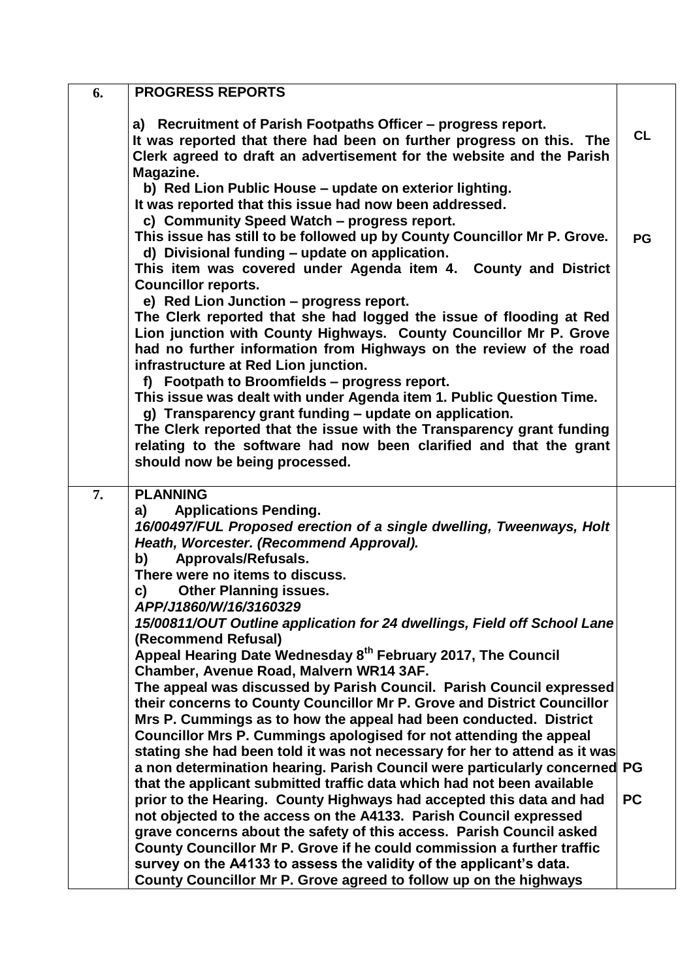| a) Recruitment of Parish Footpaths Officer - progress report.<br><b>CL</b><br>It was reported that there had been on further progress on this. The<br>Clerk agreed to draft an advertisement for the website and the Parish<br>Magazine.<br>b) Red Lion Public House - update on exterior lighting.<br>It was reported that this issue had now been addressed.<br>c) Community Speed Watch - progress report.<br>This issue has still to be followed up by County Councillor Mr P. Grove.<br><b>PG</b><br>d) Divisional funding - update on application.<br>This item was covered under Agenda item 4. County and District<br><b>Councillor reports.</b><br>e) Red Lion Junction - progress report.<br>The Clerk reported that she had logged the issue of flooding at Red<br>Lion junction with County Highways. County Councillor Mr P. Grove<br>had no further information from Highways on the review of the road<br>infrastructure at Red Lion junction.<br>f) Footpath to Broomfields - progress report.<br>This issue was dealt with under Agenda item 1. Public Question Time.<br>g) Transparency grant funding - update on application.<br>The Clerk reported that the issue with the Transparency grant funding<br>relating to the software had now been clarified and that the grant<br>should now be being processed.<br>7.<br><b>PLANNING</b><br><b>Applications Pending.</b><br>a)<br>16/00497/FUL Proposed erection of a single dwelling, Tweenways, Holt<br>Heath, Worcester. (Recommend Approval). | 6. | <b>PROGRESS REPORTS</b> |  |
|---------------------------------------------------------------------------------------------------------------------------------------------------------------------------------------------------------------------------------------------------------------------------------------------------------------------------------------------------------------------------------------------------------------------------------------------------------------------------------------------------------------------------------------------------------------------------------------------------------------------------------------------------------------------------------------------------------------------------------------------------------------------------------------------------------------------------------------------------------------------------------------------------------------------------------------------------------------------------------------------------------------------------------------------------------------------------------------------------------------------------------------------------------------------------------------------------------------------------------------------------------------------------------------------------------------------------------------------------------------------------------------------------------------------------------------------------------------------------------------------------------------------|----|-------------------------|--|
|                                                                                                                                                                                                                                                                                                                                                                                                                                                                                                                                                                                                                                                                                                                                                                                                                                                                                                                                                                                                                                                                                                                                                                                                                                                                                                                                                                                                                                                                                                                     |    |                         |  |
|                                                                                                                                                                                                                                                                                                                                                                                                                                                                                                                                                                                                                                                                                                                                                                                                                                                                                                                                                                                                                                                                                                                                                                                                                                                                                                                                                                                                                                                                                                                     |    |                         |  |
|                                                                                                                                                                                                                                                                                                                                                                                                                                                                                                                                                                                                                                                                                                                                                                                                                                                                                                                                                                                                                                                                                                                                                                                                                                                                                                                                                                                                                                                                                                                     |    |                         |  |
|                                                                                                                                                                                                                                                                                                                                                                                                                                                                                                                                                                                                                                                                                                                                                                                                                                                                                                                                                                                                                                                                                                                                                                                                                                                                                                                                                                                                                                                                                                                     |    |                         |  |
|                                                                                                                                                                                                                                                                                                                                                                                                                                                                                                                                                                                                                                                                                                                                                                                                                                                                                                                                                                                                                                                                                                                                                                                                                                                                                                                                                                                                                                                                                                                     |    |                         |  |
|                                                                                                                                                                                                                                                                                                                                                                                                                                                                                                                                                                                                                                                                                                                                                                                                                                                                                                                                                                                                                                                                                                                                                                                                                                                                                                                                                                                                                                                                                                                     |    |                         |  |
|                                                                                                                                                                                                                                                                                                                                                                                                                                                                                                                                                                                                                                                                                                                                                                                                                                                                                                                                                                                                                                                                                                                                                                                                                                                                                                                                                                                                                                                                                                                     |    |                         |  |
|                                                                                                                                                                                                                                                                                                                                                                                                                                                                                                                                                                                                                                                                                                                                                                                                                                                                                                                                                                                                                                                                                                                                                                                                                                                                                                                                                                                                                                                                                                                     |    |                         |  |
| Approvals/Refusals.<br>b)                                                                                                                                                                                                                                                                                                                                                                                                                                                                                                                                                                                                                                                                                                                                                                                                                                                                                                                                                                                                                                                                                                                                                                                                                                                                                                                                                                                                                                                                                           |    |                         |  |
| There were no items to discuss.                                                                                                                                                                                                                                                                                                                                                                                                                                                                                                                                                                                                                                                                                                                                                                                                                                                                                                                                                                                                                                                                                                                                                                                                                                                                                                                                                                                                                                                                                     |    |                         |  |
| <b>Other Planning issues.</b><br>C)<br>APP/J1860/W/16/3160329                                                                                                                                                                                                                                                                                                                                                                                                                                                                                                                                                                                                                                                                                                                                                                                                                                                                                                                                                                                                                                                                                                                                                                                                                                                                                                                                                                                                                                                       |    |                         |  |
| 15/00811/OUT Outline application for 24 dwellings, Field off School Lane<br>(Recommend Refusal)                                                                                                                                                                                                                                                                                                                                                                                                                                                                                                                                                                                                                                                                                                                                                                                                                                                                                                                                                                                                                                                                                                                                                                                                                                                                                                                                                                                                                     |    |                         |  |
| Appeal Hearing Date Wednesday 8 <sup>th</sup> February 2017, The Council<br>Chamber, Avenue Road, Malvern WR14 3AF.                                                                                                                                                                                                                                                                                                                                                                                                                                                                                                                                                                                                                                                                                                                                                                                                                                                                                                                                                                                                                                                                                                                                                                                                                                                                                                                                                                                                 |    |                         |  |
| The appeal was discussed by Parish Council. Parish Council expressed                                                                                                                                                                                                                                                                                                                                                                                                                                                                                                                                                                                                                                                                                                                                                                                                                                                                                                                                                                                                                                                                                                                                                                                                                                                                                                                                                                                                                                                |    |                         |  |
| their concerns to County Councillor Mr P. Grove and District Councillor<br>Mrs P. Cummings as to how the appeal had been conducted. District                                                                                                                                                                                                                                                                                                                                                                                                                                                                                                                                                                                                                                                                                                                                                                                                                                                                                                                                                                                                                                                                                                                                                                                                                                                                                                                                                                        |    |                         |  |
| Councillor Mrs P. Cummings apologised for not attending the appeal                                                                                                                                                                                                                                                                                                                                                                                                                                                                                                                                                                                                                                                                                                                                                                                                                                                                                                                                                                                                                                                                                                                                                                                                                                                                                                                                                                                                                                                  |    |                         |  |
| stating she had been told it was not necessary for her to attend as it was                                                                                                                                                                                                                                                                                                                                                                                                                                                                                                                                                                                                                                                                                                                                                                                                                                                                                                                                                                                                                                                                                                                                                                                                                                                                                                                                                                                                                                          |    |                         |  |
| a non determination hearing. Parish Council were particularly concerned PG<br>that the applicant submitted traffic data which had not been available                                                                                                                                                                                                                                                                                                                                                                                                                                                                                                                                                                                                                                                                                                                                                                                                                                                                                                                                                                                                                                                                                                                                                                                                                                                                                                                                                                |    |                         |  |
| <b>PC</b><br>prior to the Hearing. County Highways had accepted this data and had                                                                                                                                                                                                                                                                                                                                                                                                                                                                                                                                                                                                                                                                                                                                                                                                                                                                                                                                                                                                                                                                                                                                                                                                                                                                                                                                                                                                                                   |    |                         |  |
| not objected to the access on the A4133. Parish Council expressed                                                                                                                                                                                                                                                                                                                                                                                                                                                                                                                                                                                                                                                                                                                                                                                                                                                                                                                                                                                                                                                                                                                                                                                                                                                                                                                                                                                                                                                   |    |                         |  |
| grave concerns about the safety of this access. Parish Council asked                                                                                                                                                                                                                                                                                                                                                                                                                                                                                                                                                                                                                                                                                                                                                                                                                                                                                                                                                                                                                                                                                                                                                                                                                                                                                                                                                                                                                                                |    |                         |  |
| County Councillor Mr P. Grove if he could commission a further traffic                                                                                                                                                                                                                                                                                                                                                                                                                                                                                                                                                                                                                                                                                                                                                                                                                                                                                                                                                                                                                                                                                                                                                                                                                                                                                                                                                                                                                                              |    |                         |  |
| survey on the A4133 to assess the validity of the applicant's data.<br>County Councillor Mr P. Grove agreed to follow up on the highways                                                                                                                                                                                                                                                                                                                                                                                                                                                                                                                                                                                                                                                                                                                                                                                                                                                                                                                                                                                                                                                                                                                                                                                                                                                                                                                                                                            |    |                         |  |